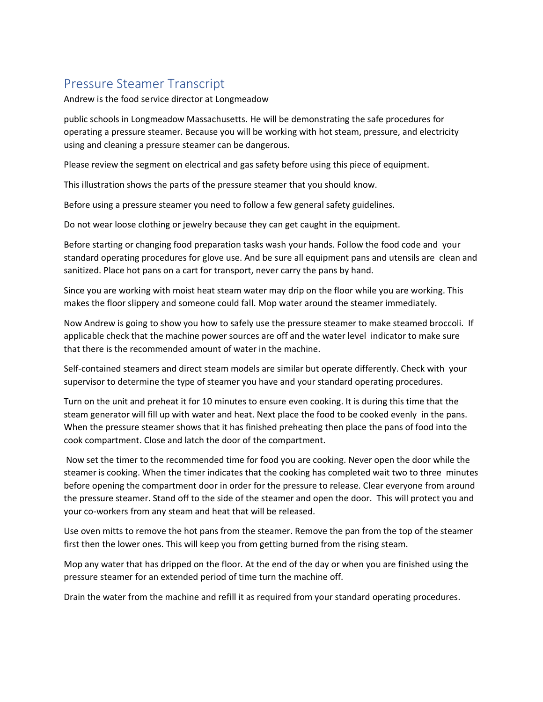## Pressure Steamer Transcript

Andrew is the food service director at Longmeadow

public schools in Longmeadow Massachusetts. He will be demonstrating the safe procedures for operating a pressure steamer. Because you will be working with hot steam, pressure, and electricity using and cleaning a pressure steamer can be dangerous.

Please review the segment on electrical and gas safety before using this piece of equipment.

This illustration shows the parts of the pressure steamer that you should know.

Before using a pressure steamer you need to follow a few general safety guidelines.

Do not wear loose clothing or jewelry because they can get caught in the equipment.

Before starting or changing food preparation tasks wash your hands. Follow the food code and your standard operating procedures for glove use. And be sure all equipment pans and utensils are clean and sanitized. Place hot pans on a cart for transport, never carry the pans by hand.

Since you are working with moist heat steam water may drip on the floor while you are working. This makes the floor slippery and someone could fall. Mop water around the steamer immediately.

Now Andrew is going to show you how to safely use the pressure steamer to make steamed broccoli. If applicable check that the machine power sources are off and the water level indicator to make sure that there is the recommended amount of water in the machine.

Self-contained steamers and direct steam models are similar but operate differently. Check with your supervisor to determine the type of steamer you have and your standard operating procedures.

Turn on the unit and preheat it for 10 minutes to ensure even cooking. It is during this time that the steam generator will fill up with water and heat. Next place the food to be cooked evenly in the pans. When the pressure steamer shows that it has finished preheating then place the pans of food into the cook compartment. Close and latch the door of the compartment.

Now set the timer to the recommended time for food you are cooking. Never open the door while the steamer is cooking. When the timer indicates that the cooking has completed wait two to three minutes before opening the compartment door in order for the pressure to release. Clear everyone from around the pressure steamer. Stand off to the side of the steamer and open the door. This will protect you and your co-workers from any steam and heat that will be released.

Use oven mitts to remove the hot pans from the steamer. Remove the pan from the top of the steamer first then the lower ones. This will keep you from getting burned from the rising steam.

Mop any water that has dripped on the floor. At the end of the day or when you are finished using the pressure steamer for an extended period of time turn the machine off.

Drain the water from the machine and refill it as required from your standard operating procedures.